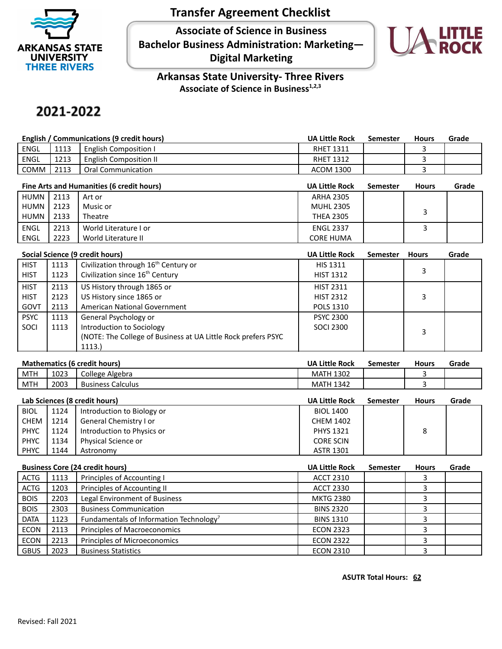

## **Transfer Agreement Checklist**

**Associate of Science in Business Bachelor Business Administration: Marketing— Digital Marketing**



**Arkansas State University- Three Rivers Associate of Science in Business1,2,3**

## 2021-2022

| English / Communications (9 credit hours) |      |                              | <b>UA Little Rock</b> | Semester | <b>Hours</b> | Grade |
|-------------------------------------------|------|------------------------------|-----------------------|----------|--------------|-------|
| <b>ENGL</b>                               | 1113 | <b>English Composition I</b> | <b>RHET 1311</b>      |          |              |       |
| <b>ENGL</b>                               | 1213 | English Composition II       | <b>RHET 1312</b>      |          |              |       |
| <b>COMM</b>                               | 2113 | Oral Communication           | ACOM 1300             |          |              |       |

|        | Fine Arts and Humanities (6 credit hours) |                       |                  | Semester | <b>Hours</b> | Grade |
|--------|-------------------------------------------|-----------------------|------------------|----------|--------------|-------|
| HUMN I | 2113                                      | Art or                | <b>ARHA 2305</b> |          |              |       |
| HUMN   | 2123                                      | Music or              | <b>MUHL 2305</b> |          |              |       |
| HUMN   | 2133                                      | Theatre               | <b>THEA 2305</b> |          |              |       |
| ENGL   | 2213                                      | World Literature I or | <b>ENGL 2337</b> |          |              |       |
| ENGL   | 2223                                      | World Literature II   | <b>CORE HUMA</b> |          |              |       |

|             | Social Science (9 credit hours) |                                                                |                  | <b>Semester</b> | <b>Hours</b> | Grade |
|-------------|---------------------------------|----------------------------------------------------------------|------------------|-----------------|--------------|-------|
| <b>HIST</b> | 1113                            | Civilization through 16 <sup>th</sup> Century or               | <b>HIS 1311</b>  |                 |              |       |
| <b>HIST</b> | 1123                            | Civilization since 16 <sup>th</sup> Century                    | <b>HIST 1312</b> |                 | 3            |       |
| <b>HIST</b> | 2113                            | US History through 1865 or                                     | <b>HIST 2311</b> |                 |              |       |
| <b>HIST</b> | 2123                            | US History since 1865 or                                       | <b>HIST 2312</b> |                 | 3            |       |
| GOVT        | 2113                            | American National Government                                   | <b>POLS 1310</b> |                 |              |       |
| <b>PSYC</b> | 1113                            | General Psychology or                                          | <b>PSYC 2300</b> |                 |              |       |
| SOCI        | 1113                            | Introduction to Sociology                                      | <b>SOCI 2300</b> |                 | 3            |       |
|             |                                 | (NOTE: The College of Business at UA Little Rock prefers PSYC) |                  |                 |              |       |
|             |                                 | 1113.                                                          |                  |                 |              |       |

| <b>Mathematics (6 credit hours)</b> |      |                          | <b>UA Little Rock</b> | Semester | <b>Hours</b> | Grade |
|-------------------------------------|------|--------------------------|-----------------------|----------|--------------|-------|
| MTH                                 | 1023 | College Algebra          | ' 1302<br>MATH        |          |              |       |
| <b>MTH</b>                          | 2003 | <b>Business Calculus</b> | <b>MATH 1342</b>      |          |              |       |
|                                     |      |                          |                       |          |              |       |

| Lab Sciences (8 credit hours) |      |                            | <b>UA Little Rock</b> | <b>Semester</b> | <b>Hours</b> | Grade |
|-------------------------------|------|----------------------------|-----------------------|-----------------|--------------|-------|
| <b>BIOL</b>                   | 1124 | Introduction to Biology or | <b>BIOL 1400</b>      |                 |              |       |
| CHEM                          | 1214 | General Chemistry I or     | <b>CHEM 1402</b>      |                 |              |       |
| <b>PHYC</b>                   | 1124 | Introduction to Physics or | <b>PHYS 1321</b>      |                 | 8            |       |
| <b>PHYC</b>                   | 1134 | Physical Science or        | <b>CORE SCIN</b>      |                 |              |       |
| <b>PHYC</b>                   | 1144 | Astronomy                  | <b>ASTR 1301</b>      |                 |              |       |

|             | <b>Business Core (24 credit hours)</b> |                                                     | <b>UA Little Rock</b> | <b>Semester</b> | <b>Hours</b> | Grade |
|-------------|----------------------------------------|-----------------------------------------------------|-----------------------|-----------------|--------------|-------|
| <b>ACTG</b> | 1113                                   | Principles of Accounting I                          | <b>ACCT 2310</b>      |                 |              |       |
| <b>ACTG</b> | 1203                                   | Principles of Accounting II                         | <b>ACCT 2330</b>      |                 |              |       |
| <b>BOIS</b> | 2203                                   | Legal Environment of Business                       | <b>MKTG 2380</b>      |                 |              |       |
| <b>BOIS</b> | 2303                                   | <b>Business Communication</b>                       | <b>BINS 2320</b>      |                 |              |       |
| <b>DATA</b> | 1123                                   | Fundamentals of Information Technology <sup>7</sup> | <b>BINS 1310</b>      |                 |              |       |
| <b>ECON</b> | 2113                                   | Principles of Macroeconomics                        | <b>ECON 2323</b>      |                 |              |       |
| <b>ECON</b> | 2213                                   | Principles of Microeconomics                        | <b>ECON 2322</b>      |                 |              |       |
| <b>GBUS</b> | 2023                                   | <b>Business Statistics</b>                          | <b>ECON 2310</b>      |                 |              |       |